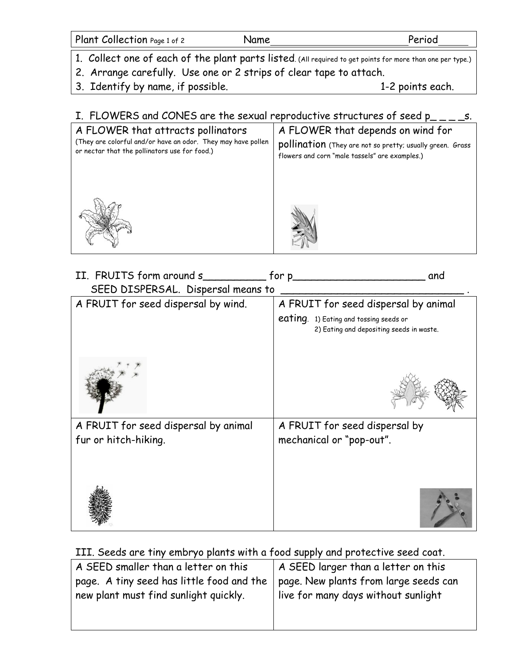| Plant Collection Page 1 of 2 | Name | Period |
|------------------------------|------|--------|
|                              |      |        |

- 1. Collect one of each of the plant parts listed. (All required to get points for more than one per type.)
- 2. Arrange carefully. Use one or 2 strips of clear tape to attach.
- 3. Identify by name, if possible. The same state of the 1-2 points each.

## I. FLOWERS and CONES are the sexual reproductive structures of seed  $p_{---}$ s.

| A FLOWER that attracts pollinators                           | A FLOWER that depends on wind for                         |
|--------------------------------------------------------------|-----------------------------------------------------------|
| (They are colorful and/or have an odor. They may have pollen | pollination (They are not so pretty; usually green. Grass |
| or nectar that the pollinators use for food.)                | flowers and corn "male tassels" are examples.)            |
|                                                              |                                                           |

| II. FRUITS form around s             | for p_<br>and                                                                      |
|--------------------------------------|------------------------------------------------------------------------------------|
| SEED DISPERSAL. Dispersal means to   |                                                                                    |
| A FRUIT for seed dispersal by wind.  | A FRUIT for seed dispersal by animal                                               |
|                                      | eating. 1) Eating and tossing seeds or<br>2) Eating and depositing seeds in waste. |
|                                      |                                                                                    |
| A FRUIT for seed dispersal by animal | A FRUIT for seed dispersal by                                                      |
| fur or hitch-hiking.                 | mechanical or "pop-out".                                                           |
|                                      |                                                                                    |

## III. Seeds are tiny embryo plants with a food supply and protective seed coat.

| A SEED smaller than a letter on this                                                                                       | A SEED larger than a letter on this |
|----------------------------------------------------------------------------------------------------------------------------|-------------------------------------|
| page. A tiny seed has little food and the   page. New plants from large seeds can<br>new plant must find sunlight quickly. | live for many days without sunlight |